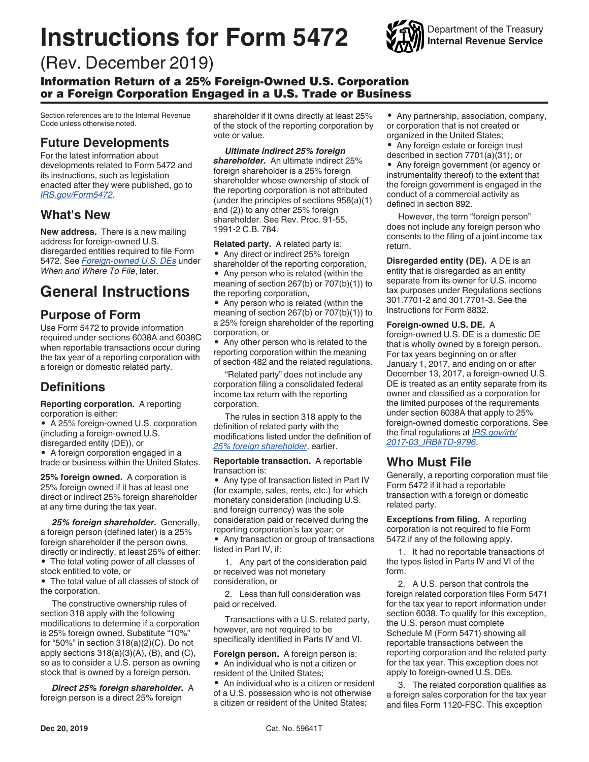# **Instructions for Form 5472**



## (Rev. December 2019)

Information Return of a 25% Foreign-Owned U.S. Corporation or a Foreign Corporation Engaged in a U.S. Trade or Business

Section references are to the Internal Revenue Code unless otherwise noted.

#### **Future Developments**

For the latest information about developments related to Form 5472 and its instructions, such as legislation enacted after they were published, go to *[IRS.gov/Form5472](https://www.irs.gov/form5472)*.

#### **What's New**

**New address.** There is a new mailing address for foreign-owned U.S. disregarded entities required to file Form 5472. See *[Foreign-owned U.S. DEs](#page-1-0)* under *When and Where To File*, later.

# **General Instructions**

#### **Purpose of Form**

Use Form 5472 to provide information required under sections 6038A and 6038C when reportable transactions occur during the tax year of a reporting corporation with a foreign or domestic related party.

## **Definitions**

**Reporting corporation.** A reporting corporation is either:

• A 25% foreign-owned U.S. corporation (including a foreign-owned U.S. disregarded entity (DE)), or

• A foreign corporation engaged in a trade or business within the United States.

**25% foreign owned.** A corporation is 25% foreign owned if it has at least one direct or indirect 25% foreign shareholder at any time during the tax year.

*25% foreign shareholder.* Generally, a foreign person (defined later) is a 25% foreign shareholder if the person owns, directly or indirectly, at least 25% of either:

• The total voting power of all classes of stock entitled to vote, or

• The total value of all classes of stock of the corporation.

The constructive ownership rules of section 318 apply with the following modifications to determine if a corporation is 25% foreign owned. Substitute "10%" for "50%" in section 318(a)(2)(C). Do not apply sections  $318(a)(3)(A)$ ,  $(B)$ , and  $(C)$ , so as to consider a U.S. person as owning stock that is owned by a foreign person.

*Direct 25% foreign shareholder.* A foreign person is a direct 25% foreign

shareholder if it owns directly at least 25% of the stock of the reporting corporation by vote or value.

*Ultimate indirect 25% foreign shareholder.* An ultimate indirect 25% foreign shareholder is a 25% foreign shareholder whose ownership of stock of the reporting corporation is not attributed (under the principles of sections 958(a)(1) and (2)) to any other 25% foreign shareholder. See Rev. Proc. 91-55, 1991-2 C.B. 784.

**Related party.** A related party is: • Any direct or indirect 25% foreign shareholder of the reporting corporation, • Any person who is related (within the meaning of section 267(b) or 707(b)(1)) to

the reporting corporation, • Any person who is related (within the

meaning of section 267(b) or 707(b)(1)) to a 25% foreign shareholder of the reporting corporation, or

• Any other person who is related to the reporting corporation within the meaning of section 482 and the related regulations.

"Related party" does not include any corporation filing a consolidated federal income tax return with the reporting corporation.

The rules in section 318 apply to the definition of related party with the modifications listed under the definition of *25% foreign shareholder*, earlier.

**Reportable transaction.** A reportable transaction is:

• Any type of transaction listed in Part IV (for example, sales, rents, etc.) for which monetary consideration (including U.S. and foreign currency) was the sole consideration paid or received during the reporting corporation's tax year; or • Any transaction or group of transactions listed in Part IV, if:

1. Any part of the consideration paid or received was not monetary consideration, or

2. Less than full consideration was paid or received.

Transactions with a U.S. related party, however, are not required to be specifically identified in Parts IV and VI.

**Foreign person.** A foreign person is: • An individual who is not a citizen or resident of the United States;

• An individual who is a citizen or resident of a U.S. possession who is not otherwise a citizen or resident of the United States;

- Any partnership, association, company, or corporation that is not created or organized in the United States;
- Any foreign estate or foreign trust described in section 7701(a)(31); or

• Any foreign government (or agency or instrumentality thereof) to the extent that the foreign government is engaged in the conduct of a commercial activity as defined in section 892.

However, the term "foreign person" does not include any foreign person who consents to the filing of a joint income tax return.

**Disregarded entity (DE).** A DE is an entity that is disregarded as an entity separate from its owner for U.S. income tax purposes under Regulations sections 301.7701-2 and 301.7701-3. See the Instructions for Form 8832.

#### **Foreign-owned U.S. DE.** A

foreign-owned U.S. DE is a domestic DE that is wholly owned by a foreign person. For tax years beginning on or after January 1, 2017, and ending on or after December 13, 2017, a foreign-owned U.S. DE is treated as an entity separate from its owner and classified as a corporation for the limited purposes of the requirements under section 6038A that apply to 25% foreign-owned domestic corporations. See the final regulations at *[IRS.gov/irb/](https://www.irs.gov/irb/2017-03_IRB#TD-9796) [2017-03\\_IRB#TD-9796](https://www.irs.gov/irb/2017-03_IRB#TD-9796)*.

#### **Who Must File**

Generally, a reporting corporation must file Form 5472 if it had a reportable transaction with a foreign or domestic related party.

**Exceptions from filing.** A reporting corporation is not required to file Form 5472 if any of the following apply.

1. It had no reportable transactions of the types listed in Parts IV and VI of the form.

2. A U.S. person that controls the foreign related corporation files Form 5471 for the tax year to report information under section 6038. To qualify for this exception, the U.S. person must complete Schedule M (Form 5471) showing all reportable transactions between the reporting corporation and the related party for the tax year. This exception does not apply to foreign-owned U.S. DEs.

3. The related corporation qualifies as a foreign sales corporation for the tax year and files Form 1120-FSC. This exception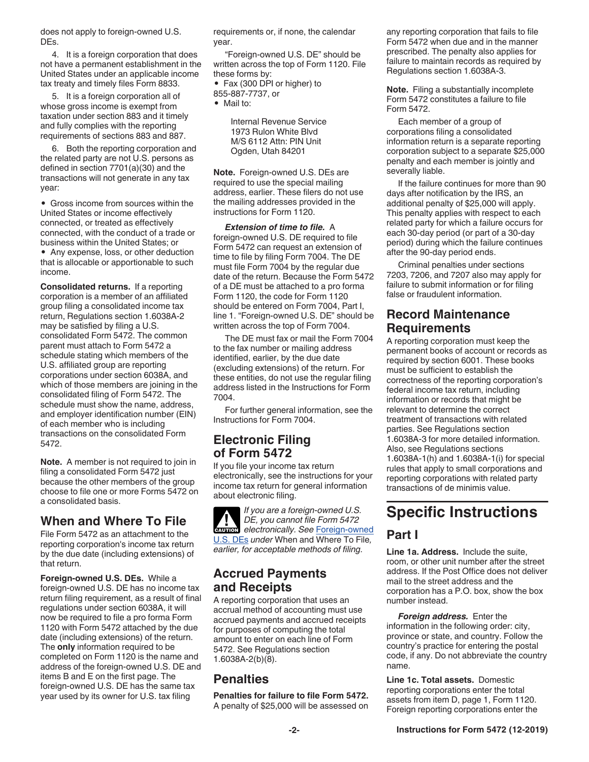<span id="page-1-0"></span>does not apply to foreign-owned U.S. DEs.

4. It is a foreign corporation that does not have a permanent establishment in the United States under an applicable income tax treaty and timely files Form 8833.

5. It is a foreign corporation all of whose gross income is exempt from taxation under section 883 and it timely and fully complies with the reporting requirements of sections 883 and 887.

6. Both the reporting corporation and the related party are not U.S. persons as defined in section 7701(a)(30) and the transactions will not generate in any tax year:

• Gross income from sources within the United States or income effectively connected, or treated as effectively connected, with the conduct of a trade or business within the United States; or

• Any expense, loss, or other deduction that is allocable or apportionable to such income.

**Consolidated returns.** If a reporting corporation is a member of an affiliated group filing a consolidated income tax return, Regulations section 1.6038A-2 may be satisfied by filing a U.S. consolidated Form 5472. The common parent must attach to Form 5472 a schedule stating which members of the U.S. affiliated group are reporting corporations under section 6038A, and which of those members are joining in the consolidated filing of Form 5472. The schedule must show the name, address, and employer identification number (EIN) of each member who is including transactions on the consolidated Form 5472.

**Note.** A member is not required to join in filing a consolidated Form 5472 just because the other members of the group choose to file one or more Forms 5472 on a consolidated basis.

#### **When and Where To File**

File Form 5472 as an attachment to the reporting corporation's income tax return by the due date (including extensions) of that return.

**Foreign-owned U.S. DEs.** While a foreign-owned U.S. DE has no income tax return filing requirement, as a result of final regulations under section 6038A, it will now be required to file a pro forma Form 1120 with Form 5472 attached by the due date (including extensions) of the return. The **only** information required to be completed on Form 1120 is the name and address of the foreign-owned U.S. DE and items B and E on the first page. The foreign-owned U.S. DE has the same tax year used by its owner for U.S. tax filing

requirements or, if none, the calendar year.

"Foreign-owned U.S. DE" should be written across the top of Form 1120. File these forms by:

• Fax (300 DPI or higher) to 855-887-7737, or

• Mail to:

Internal Revenue Service 1973 Rulon White Blvd M/S 6112 Attn: PIN Unit Ogden, Utah 84201

**Note.** Foreign-owned U.S. DEs are required to use the special mailing address, earlier. These filers do not use the mailing addresses provided in the instructions for Form 1120.

*Extension of time to file.* A foreign-owned U.S. DE required to file Form 5472 can request an extension of time to file by filing Form 7004. The DE must file Form 7004 by the regular due date of the return. Because the Form 5472 of a DE must be attached to a pro forma Form 1120, the code for Form 1120 should be entered on Form 7004, Part I, line 1. "Foreign-owned U.S. DE" should be written across the top of Form 7004.

The DE must fax or mail the Form 7004 to the fax number or mailing address identified, earlier, by the due date (excluding extensions) of the return. For these entities, do not use the regular filing address listed in the Instructions for Form 7004.

For further general information, see the Instructions for Form 7004.

### **Electronic Filing of Form 5472**

If you file your income tax return electronically, see the instructions for your income tax return for general information about electronic filing.

*If you are a foreign-owned U.S. DE, you cannot file Form 5472 DE, you cannot file Form 5472*<br> **electronically. See Foreign-owned** U.S. DEs *under* When and Where To File*, earlier, for acceptable methods of filing.*

#### **Accrued Payments and Receipts**

A reporting corporation that uses an accrual method of accounting must use accrued payments and accrued receipts for purposes of computing the total amount to enter on each line of Form 5472. See Regulations section 1.6038A-2(b)(8).

#### **Penalties**

**Penalties for failure to file Form 5472.**  A penalty of \$25,000 will be assessed on any reporting corporation that fails to file Form 5472 when due and in the manner prescribed. The penalty also applies for failure to maintain records as required by Regulations section 1.6038A-3.

**Note.** Filing a substantially incomplete Form 5472 constitutes a failure to file Form 5472.

Each member of a group of corporations filing a consolidated information return is a separate reporting corporation subject to a separate \$25,000 penalty and each member is jointly and severally liable.

If the failure continues for more than 90 days after notification by the IRS, an additional penalty of \$25,000 will apply. This penalty applies with respect to each related party for which a failure occurs for each 30-day period (or part of a 30-day period) during which the failure continues after the 90-day period ends.

Criminal penalties under sections 7203, 7206, and 7207 also may apply for failure to submit information or for filing false or fraudulent information.

#### **Record Maintenance Requirements**

A reporting corporation must keep the permanent books of account or records as required by section 6001. These books must be sufficient to establish the correctness of the reporting corporation's federal income tax return, including information or records that might be relevant to determine the correct treatment of transactions with related parties. See Regulations section 1.6038A-3 for more detailed information. Also, see Regulations sections 1.6038A-1(h) and 1.6038A-1(i) for special rules that apply to small corporations and reporting corporations with related party transactions of de minimis value.

## **Specific Instructions**

#### **Part I**

**Line 1a. Address.** Include the suite, room, or other unit number after the street address. If the Post Office does not deliver mail to the street address and the corporation has a P.O. box, show the box number instead.

*Foreign address.* Enter the information in the following order: city, province or state, and country. Follow the country's practice for entering the postal code, if any. Do not abbreviate the country name.

**Line 1c. Total assets.** Domestic reporting corporations enter the total assets from item D, page 1, Form 1120. Foreign reporting corporations enter the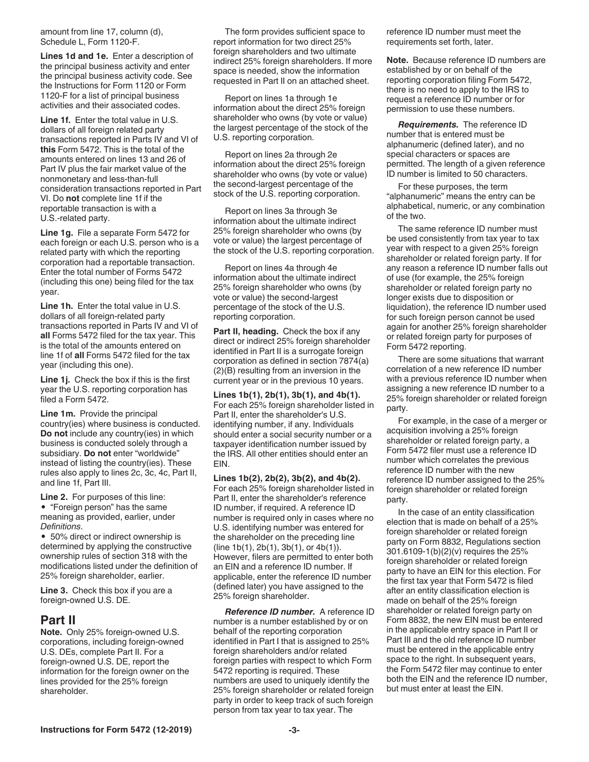<span id="page-2-0"></span>amount from line 17, column (d), Schedule L, Form 1120-F.

**Lines 1d and 1e.** Enter a description of the principal business activity and enter the principal business activity code. See the Instructions for Form 1120 or Form 1120-F for a list of principal business activities and their associated codes.

**Line 1f.** Enter the total value in U.S. dollars of all foreign related party transactions reported in Parts IV and VI of **this** Form 5472. This is the total of the amounts entered on lines 13 and 26 of Part IV plus the fair market value of the nonmonetary and less-than-full consideration transactions reported in Part VI. Do **not** complete line 1f if the reportable transaction is with a U.S.-related party.

**Line 1g.** File a separate Form 5472 for each foreign or each U.S. person who is a related party with which the reporting corporation had a reportable transaction. Enter the total number of Forms 5472 (including this one) being filed for the tax year.

**Line 1h.** Enter the total value in U.S. dollars of all foreign-related party transactions reported in Parts IV and VI of **all** Forms 5472 filed for the tax year. This is the total of the amounts entered on line 1f of **all** Forms 5472 filed for the tax year (including this one).

**Line 1j.** Check the box if this is the first year the U.S. reporting corporation has filed a Form 5472.

**Line 1m.** Provide the principal country(ies) where business is conducted. **Do not** include any country(ies) in which business is conducted solely through a subsidiary. **Do not** enter "worldwide" instead of listing the country(ies). These rules also apply to lines 2c, 3c, 4c, Part II, and line 1f, Part III.

**Line 2.** For purposes of this line: • "Foreign person" has the same meaning as provided, earlier, under *Definitions*.

• 50% direct or indirect ownership is determined by applying the constructive ownership rules of section 318 with the modifications listed under the definition of 25% foreign shareholder, earlier.

**Line 3.** Check this box if you are a foreign-owned U.S. DE.

#### **Part II**

**Note.** Only 25% foreign-owned U.S. corporations, including foreign-owned U.S. DEs, complete Part II. For a foreign-owned U.S. DE, report the information for the foreign owner on the lines provided for the 25% foreign shareholder.

The form provides sufficient space to report information for two direct 25% foreign shareholders and two ultimate indirect 25% foreign shareholders. If more space is needed, show the information requested in Part II on an attached sheet.

Report on lines 1a through 1e information about the direct 25% foreign shareholder who owns (by vote or value) the largest percentage of the stock of the U.S. reporting corporation.

Report on lines 2a through 2e information about the direct 25% foreign shareholder who owns (by vote or value) the second-largest percentage of the stock of the U.S. reporting corporation.

Report on lines 3a through 3e information about the ultimate indirect 25% foreign shareholder who owns (by vote or value) the largest percentage of the stock of the U.S. reporting corporation.

Report on lines 4a through 4e information about the ultimate indirect 25% foreign shareholder who owns (by vote or value) the second-largest percentage of the stock of the U.S. reporting corporation.

**Part II, heading.** Check the box if any direct or indirect 25% foreign shareholder identified in Part II is a surrogate foreign corporation as defined in section 7874(a) (2)(B) resulting from an inversion in the current year or in the previous 10 years.

**Lines 1b(1), 2b(1), 3b(1), and 4b(1).**  For each 25% foreign shareholder listed in Part II, enter the shareholder's U.S. identifying number, if any. Individuals should enter a social security number or a taxpayer identification number issued by the IRS. All other entities should enter an EIN.

**Lines 1b(2), 2b(2), 3b(2), and 4b(2).**  For each 25% foreign shareholder listed in Part II, enter the shareholder's reference ID number, if required. A reference ID number is required only in cases where no U.S. identifying number was entered for the shareholder on the preceding line (line 1b(1), 2b(1), 3b(1), or 4b(1)). However, filers are permitted to enter both an EIN and a reference ID number. If applicable, enter the reference ID number (defined later) you have assigned to the 25% foreign shareholder.

*Reference ID number.* A reference ID number is a number established by or on behalf of the reporting corporation identified in Part I that is assigned to 25% foreign shareholders and/or related foreign parties with respect to which Form 5472 reporting is required. These numbers are used to uniquely identify the 25% foreign shareholder or related foreign party in order to keep track of such foreign person from tax year to tax year. The

reference ID number must meet the requirements set forth, later.

**Note.** Because reference ID numbers are established by or on behalf of the reporting corporation filing Form 5472, there is no need to apply to the IRS to request a reference ID number or for permission to use these numbers.

*Requirements.* The reference ID number that is entered must be alphanumeric (defined later), and no special characters or spaces are permitted. The length of a given reference ID number is limited to 50 characters.

For these purposes, the term "alphanumeric" means the entry can be alphabetical, numeric, or any combination of the two.

The same reference ID number must be used consistently from tax year to tax year with respect to a given 25% foreign shareholder or related foreign party. If for any reason a reference ID number falls out of use (for example, the 25% foreign shareholder or related foreign party no longer exists due to disposition or liquidation), the reference ID number used for such foreign person cannot be used again for another 25% foreign shareholder or related foreign party for purposes of Form 5472 reporting.

There are some situations that warrant correlation of a new reference ID number with a previous reference ID number when assigning a new reference ID number to a 25% foreign shareholder or related foreign party.

For example, in the case of a merger or acquisition involving a 25% foreign shareholder or related foreign party, a Form 5472 filer must use a reference ID number which correlates the previous reference ID number with the new reference ID number assigned to the 25% foreign shareholder or related foreign party.

In the case of an entity classification election that is made on behalf of a 25% foreign shareholder or related foreign party on Form 8832, Regulations section 301.6109-1(b)(2)(v) requires the 25% foreign shareholder or related foreign party to have an EIN for this election. For the first tax year that Form 5472 is filed after an entity classification election is made on behalf of the 25% foreign shareholder or related foreign party on Form 8832, the new EIN must be entered in the applicable entry space in Part II or Part III and the old reference ID number must be entered in the applicable entry space to the right. In subsequent years, the Form 5472 filer may continue to enter both the EIN and the reference ID number, but must enter at least the EIN.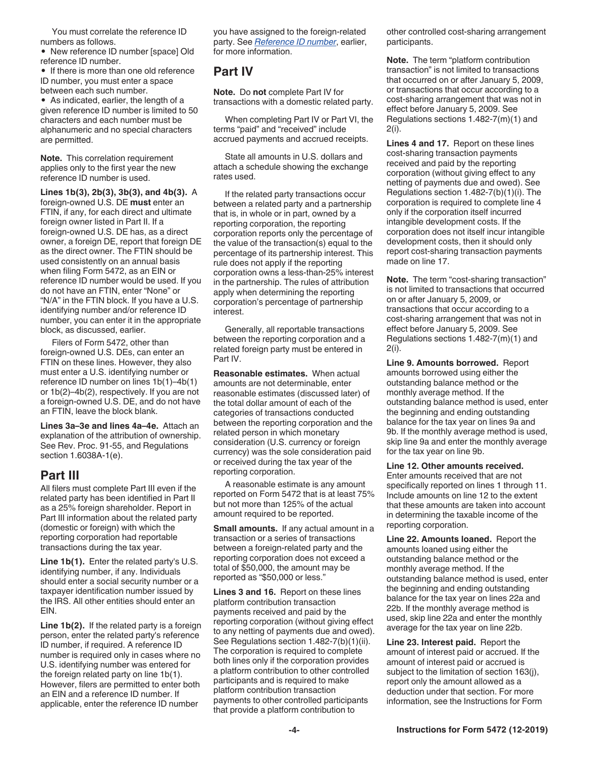You must correlate the reference ID numbers as follows.

• New reference ID number [space] Old reference ID number.

• If there is more than one old reference ID number, you must enter a space between each such number.

• As indicated, earlier, the length of a given reference ID number is limited to 50 characters and each number must be alphanumeric and no special characters are permitted.

**Note.** This correlation requirement applies only to the first year the new reference ID number is used.

**Lines 1b(3), 2b(3), 3b(3), and 4b(3).** A foreign-owned U.S. DE **must** enter an FTIN, if any, for each direct and ultimate foreign owner listed in Part II. If a foreign-owned U.S. DE has, as a direct owner, a foreign DE, report that foreign DE as the direct owner. The FTIN should be used consistently on an annual basis when filing Form 5472, as an EIN or reference ID number would be used. If you do not have an FTIN, enter "None" or "N/A" in the FTIN block. If you have a U.S. identifying number and/or reference ID number, you can enter it in the appropriate block, as discussed, earlier.

Filers of Form 5472, other than foreign-owned U.S. DEs, can enter an FTIN on these lines. However, they also must enter a U.S. identifying number or reference ID number on lines 1b(1)–4b(1) or 1b(2)–4b(2), respectively. If you are not a foreign-owned U.S. DE, and do not have an FTIN, leave the block blank.

**Lines 3a–3e and lines 4a–4e.** Attach an explanation of the attribution of ownership. See Rev. Proc. 91-55, and Regulations section 1.6038A-1(e).

#### **Part III**

All filers must complete Part III even if the related party has been identified in Part II as a 25% foreign shareholder. Report in Part III information about the related party (domestic or foreign) with which the reporting corporation had reportable transactions during the tax year.

**Line 1b(1).** Enter the related party's U.S. identifying number, if any. Individuals should enter a social security number or a taxpayer identification number issued by the IRS. All other entities should enter an EIN.

**Line 1b(2).** If the related party is a foreign person, enter the related party's reference ID number, if required. A reference ID number is required only in cases where no U.S. identifying number was entered for the foreign related party on line 1b(1). However, filers are permitted to enter both an EIN and a reference ID number. If applicable, enter the reference ID number

you have assigned to the foreign-related party. See *[Reference ID number](#page-2-0)*, earlier, for more information.

#### **Part IV**

**Note.** Do **not** complete Part IV for transactions with a domestic related party.

When completing Part IV or Part VI, the terms "paid" and "received" include accrued payments and accrued receipts.

State all amounts in U.S. dollars and attach a schedule showing the exchange rates used.

If the related party transactions occur between a related party and a partnership that is, in whole or in part, owned by a reporting corporation, the reporting corporation reports only the percentage of the value of the transaction(s) equal to the percentage of its partnership interest. This rule does not apply if the reporting corporation owns a less-than-25% interest in the partnership. The rules of attribution apply when determining the reporting corporation's percentage of partnership interest.

Generally, all reportable transactions between the reporting corporation and a related foreign party must be entered in Part IV.

**Reasonable estimates.** When actual amounts are not determinable, enter reasonable estimates (discussed later) of the total dollar amount of each of the categories of transactions conducted between the reporting corporation and the related person in which monetary consideration (U.S. currency or foreign currency) was the sole consideration paid or received during the tax year of the reporting corporation.

A reasonable estimate is any amount reported on Form 5472 that is at least 75% but not more than 125% of the actual amount required to be reported.

**Small amounts.** If any actual amount in a transaction or a series of transactions between a foreign-related party and the reporting corporation does not exceed a total of \$50,000, the amount may be reported as "\$50,000 or less."

**Lines 3 and 16.** Report on these lines platform contribution transaction payments received and paid by the reporting corporation (without giving effect to any netting of payments due and owed). See Regulations section 1.482-7(b)(1)(ii). The corporation is required to complete both lines only if the corporation provides a platform contribution to other controlled participants and is required to make platform contribution transaction payments to other controlled participants that provide a platform contribution to

other controlled cost-sharing arrangement participants.

**Note.** The term "platform contribution transaction" is not limited to transactions that occurred on or after January 5, 2009, or transactions that occur according to a cost-sharing arrangement that was not in effect before January 5, 2009. See Regulations sections 1.482-7(m)(1) and 2(i).

**Lines 4 and 17.** Report on these lines cost-sharing transaction payments received and paid by the reporting corporation (without giving effect to any netting of payments due and owed). See Regulations section 1.482-7(b)(1)(i). The corporation is required to complete line 4 only if the corporation itself incurred intangible development costs. If the corporation does not itself incur intangible development costs, then it should only report cost-sharing transaction payments made on line 17.

**Note.** The term "cost-sharing transaction" is not limited to transactions that occurred on or after January 5, 2009, or transactions that occur according to a cost-sharing arrangement that was not in effect before January 5, 2009. See Regulations sections 1.482-7(m)(1) and 2(i).

**Line 9. Amounts borrowed.** Report amounts borrowed using either the outstanding balance method or the monthly average method. If the outstanding balance method is used, enter the beginning and ending outstanding balance for the tax year on lines 9a and 9b. If the monthly average method is used, skip line 9a and enter the monthly average for the tax year on line 9b.

#### **Line 12. Other amounts received.**

Enter amounts received that are not specifically reported on lines 1 through 11. Include amounts on line 12 to the extent that these amounts are taken into account in determining the taxable income of the reporting corporation.

**Line 22. Amounts loaned.** Report the amounts loaned using either the outstanding balance method or the monthly average method. If the outstanding balance method is used, enter the beginning and ending outstanding balance for the tax year on lines 22a and 22b. If the monthly average method is used, skip line 22a and enter the monthly average for the tax year on line 22b.

**Line 23. Interest paid.** Report the amount of interest paid or accrued. If the amount of interest paid or accrued is subject to the limitation of section 163(j), report only the amount allowed as a deduction under that section. For more information, see the Instructions for Form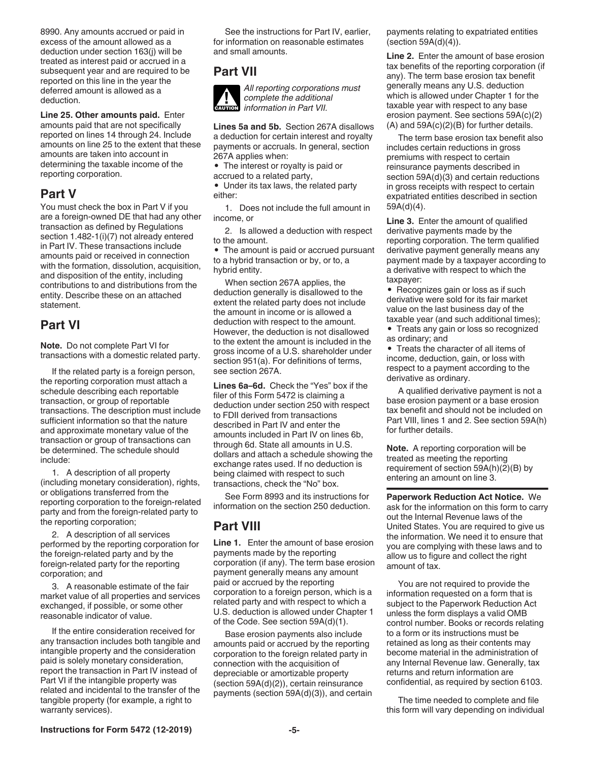8990. Any amounts accrued or paid in excess of the amount allowed as a deduction under section 163(j) will be treated as interest paid or accrued in a subsequent year and are required to be reported on this line in the year the deferred amount is allowed as a deduction.

**Line 25. Other amounts paid.** Enter amounts paid that are not specifically reported on lines 14 through 24. Include amounts on line 25 to the extent that these amounts are taken into account in determining the taxable income of the reporting corporation.

#### **Part V**

You must check the box in Part V if you are a foreign-owned DE that had any other transaction as defined by Regulations section 1.482-1(i)(7) not already entered in Part IV. These transactions include amounts paid or received in connection with the formation, dissolution, acquisition, and disposition of the entity, including contributions to and distributions from the entity. Describe these on an attached statement.

#### **Part VI**

**Note.** Do not complete Part VI for transactions with a domestic related party.

If the related party is a foreign person, the reporting corporation must attach a schedule describing each reportable transaction, or group of reportable transactions. The description must include sufficient information so that the nature and approximate monetary value of the transaction or group of transactions can be determined. The schedule should include:

1. A description of all property (including monetary consideration), rights, or obligations transferred from the reporting corporation to the foreign-related party and from the foreign-related party to the reporting corporation;

2. A description of all services performed by the reporting corporation for the foreign-related party and by the foreign-related party for the reporting corporation; and

3. A reasonable estimate of the fair market value of all properties and services exchanged, if possible, or some other reasonable indicator of value.

If the entire consideration received for any transaction includes both tangible and intangible property and the consideration paid is solely monetary consideration, report the transaction in Part IV instead of Part VI if the intangible property was related and incidental to the transfer of the tangible property (for example, a right to warranty services).

See the instructions for Part IV, earlier, for information on reasonable estimates and small amounts.

#### **Part VII**



*All reporting corporations must complete the additional complete the additional*<br> *information in Part VII.* 

**Lines 5a and 5b.** Section 267A disallows a deduction for certain interest and royalty payments or accruals. In general, section 267A applies when:

• The interest or royalty is paid or accrued to a related party,

• Under its tax laws, the related party either:

1. Does not include the full amount in income, or

2. Is allowed a deduction with respect to the amount.

• The amount is paid or accrued pursuant to a hybrid transaction or by, or to, a hybrid entity.

When section 267A applies, the deduction generally is disallowed to the extent the related party does not include the amount in income or is allowed a deduction with respect to the amount. However, the deduction is not disallowed to the extent the amount is included in the gross income of a U.S. shareholder under section 951(a). For definitions of terms, see section 267A.

**Lines 6a–6d.** Check the "Yes" box if the filer of this Form 5472 is claiming a deduction under section 250 with respect to FDII derived from transactions described in Part IV and enter the amounts included in Part IV on lines 6b, through 6d. State all amounts in U.S. dollars and attach a schedule showing the exchange rates used. If no deduction is being claimed with respect to such transactions, check the "No" box.

See Form 8993 and its instructions for information on the section 250 deduction.

## **Part VIII**

**Line 1.** Enter the amount of base erosion payments made by the reporting corporation (if any). The term base erosion payment generally means any amount paid or accrued by the reporting corporation to a foreign person, which is a related party and with respect to which a U.S. deduction is allowed under Chapter 1 of the Code. See section 59A(d)(1).

Base erosion payments also include amounts paid or accrued by the reporting corporation to the foreign related party in connection with the acquisition of depreciable or amortizable property (section 59A(d)(2)), certain reinsurance payments (section 59A(d)(3)), and certain payments relating to expatriated entities (section 59A(d)(4)).

**Line 2.** Enter the amount of base erosion tax benefits of the reporting corporation (if any). The term base erosion tax benefit generally means any U.S. deduction which is allowed under Chapter 1 for the taxable year with respect to any base erosion payment. See sections 59A(c)(2) (A) and 59A(c)(2)(B) for further details.

The term base erosion tax benefit also includes certain reductions in gross premiums with respect to certain reinsurance payments described in section 59A(d)(3) and certain reductions in gross receipts with respect to certain expatriated entities described in section 59A(d)(4).

**Line 3.** Enter the amount of qualified derivative payments made by the reporting corporation. The term qualified derivative payment generally means any payment made by a taxpayer according to a derivative with respect to which the taxpayer:

• Recognizes gain or loss as if such derivative were sold for its fair market value on the last business day of the taxable year (and such additional times);

• Treats any gain or loss so recognized as ordinary; and

• Treats the character of all items of income, deduction, gain, or loss with respect to a payment according to the derivative as ordinary.

A qualified derivative payment is not a base erosion payment or a base erosion tax benefit and should not be included on Part VIII, lines 1 and 2. See section 59A(h) for further details.

**Note.** A reporting corporation will be treated as meeting the reporting requirement of section 59A(h)(2)(B) by entering an amount on line 3.

**Paperwork Reduction Act Notice.** We ask for the information on this form to carry out the Internal Revenue laws of the United States. You are required to give us the information. We need it to ensure that you are complying with these laws and to allow us to figure and collect the right amount of tax.

You are not required to provide the information requested on a form that is subject to the Paperwork Reduction Act unless the form displays a valid OMB control number. Books or records relating to a form or its instructions must be retained as long as their contents may become material in the administration of any Internal Revenue law. Generally, tax returns and return information are confidential, as required by section 6103.

The time needed to complete and file this form will vary depending on individual